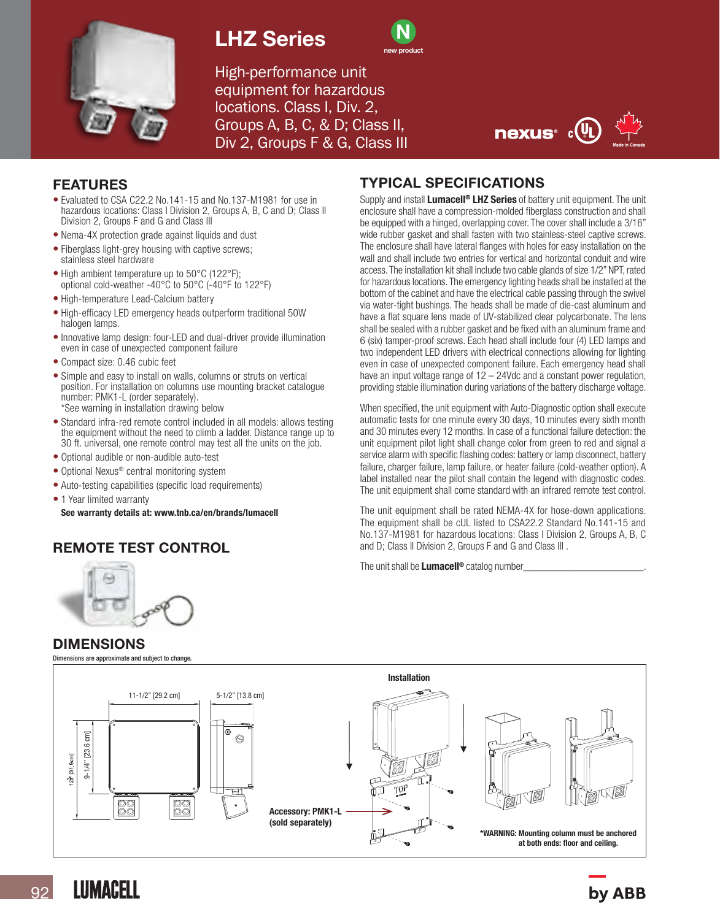

# LHZ Series



High-performance unit equipment for hazardous locations. Class I, Div. 2, Groups A, B, C, & D; Class II, Div 2, Groups F & G, Class III



### FEATURES

- Evaluated to CSA C22.2 No.141-15 and No.137-M1981 for use in hazardous locations: Class I Division 2, Groups A, B, C and D; Class II Division 2, Groups F and G and Class III
- Nema-4X protection grade against liquids and dust
- Fiberglass light-grey housing with captive screws: stainless steel hardware
- High ambient temperature up to 50°C (122°F); optional cold-weather -40°C to 50°C (-40°F to 122°F)
- High-temperature Lead-Calcium battery
- High-efficacy LED emergency heads outperform traditional 50W halogen lamps.
- Innovative lamp design: four-LED and dual-driver provide illumination even in case of unexpected component failure
- Compact size: 0.46 cubic feet
- Simple and easy to install on walls, columns or struts on vertical position. For installation on columns use mounting bracket catalogue number: PMK1-L (order separately). \*See warning in installation drawing below
- Standard infra-red remote control included in all models: allows testing the equipment without the need to climb a ladder. Distance range up to 30 ft. universal, one remote control may test all the units on the job.
- Optional audible or non-audible auto-test
- Optional Nexus<sup>®</sup> central monitoring system
- Auto-testing capabilities (specific load requirements)
- 1 Year limited warranty See warranty details at: www.tnb.ca/en/brands/lumacell

# REMOTE TEST CONTROL

### TYPICAL SPECIFICATIONS

Supply and install **Lumacell<sup>®</sup> LHZ Series** of battery unit equipment. The unit enclosure shall have a compression-molded fiberglass construction and shall be equipped with a hinged, overlapping cover. The cover shall include a 3/16" wide rubber gasket and shall fasten with two stainless-steel captive screws. The enclosure shall have lateral flanges with holes for easy installation on the wall and shall include two entries for vertical and horizontal conduit and wire access. The installation kit shall include two cable glands of size 1/2" NPT, rated for hazardous locations. The emergency lighting heads shall be installed at the bottom of the cabinet and have the electrical cable passing through the swivel via water-tight bushings. The heads shall be made of die-cast aluminum and have a flat square lens made of UV-stabilized clear polycarbonate. The lens shall be sealed with a rubber gasket and be fixed with an aluminum frame and 6 (six) tamper-proof screws. Each head shall include four (4) LED lamps and two independent LED drivers with electrical connections allowing for lighting even in case of unexpected component failure. Each emergency head shall have an input voltage range of 12 – 24Vdc and a constant power regulation, providing stable illumination during variations of the battery discharge voltage.

When specified, the unit equipment with Auto-Diagnostic option shall execute automatic tests for one minute every 30 days, 10 minutes every sixth month and 30 minutes every 12 months. In case of a functional failure detection: the unit equipment pilot light shall change color from green to red and signal a service alarm with specific flashing codes: battery or lamp disconnect, battery failure, charger failure, lamp failure, or heater failure (cold-weather option). A label installed near the pilot shall contain the legend with diagnostic codes. The unit equipment shall come standard with an infrared remote test control.

The unit equipment shall be rated NEMA-4X for hose-down applications. The equipment shall be cUL listed to CSA22.2 Standard No.141-15 and No.137-M1981 for hazardous locations: Class I Division 2, Groups A, B, C and D; Class II Division 2, Groups F and G and Class III .

The unit shall be **Lumacell®** catalog number



### DIMENSIONS

Dimensions are approximate and subject to change.